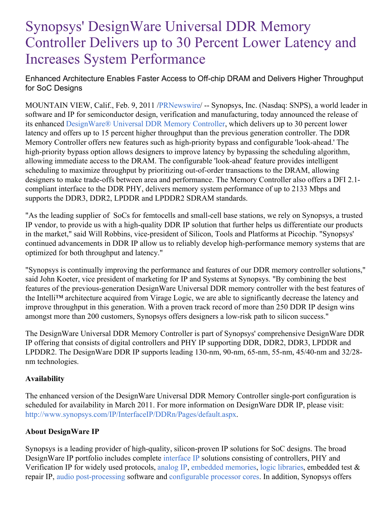# Synopsys' DesignWare Universal DDR Memory Controller Delivers up to 30 Percent Lower Latency and Increases System Performance

Enhanced Architecture Enables Faster Access to Off-chip DRAM and Delivers Higher Throughput for SoC Designs

MOUNTAIN VIEW, Calif., Feb. 9, 2011 [/PRNewswire](http://www.prnewswire.com/)/ -- Synopsys, Inc. (Nasdaq: SNPS), a world leader in software and IP for semiconductor design, verification and manufacturing, today announced the release of its enhanced [DesignWare®](http://www.synopsys.com/dw/ipdir.php?ds=dwc_ddr_universal_ctls) Universal DDR Memory Controller, which delivers up to 30 percent lower latency and offers up to 15 percent higher throughput than the previous generation controller. The DDR Memory Controller offers new features such as high-priority bypass and configurable 'look-ahead.' The high-priority bypass option allows designers to improve latency by bypassing the scheduling algorithm, allowing immediate access to the DRAM. The configurable 'look-ahead' feature provides intelligent scheduling to maximize throughput by prioritizing out-of-order transactions to the DRAM, allowing designers to make trade-offs between area and performance. The Memory Controller also offers a DFI 2.1 compliant interface to the DDR PHY, delivers memory system performance of up to 2133 Mbps and supports the DDR3, DDR2, LPDDR and LPDDR2 SDRAM standards.

"As the leading supplier of SoCs for femtocells and small-cell base stations, we rely on Synopsys, a trusted IP vendor, to provide us with a high-quality DDR IP solution that further helps us differentiate our products in the market," said Will Robbins, vice-president of Silicon, Tools and Platforms at Picochip. "Synopsys' continued advancements in DDR IP allow us to reliably develop high-performance memory systems that are optimized for both throughput and latency."

"Synopsys is continually improving the performance and features of our DDR memory controller solutions," said John Koeter, vice president of marketing for IP and Systems at Synopsys. "By combining the best features of the previous-generation DesignWare Universal DDR memory controller with the best features of the Intelli™ architecture acquired from Virage Logic, we are able to significantly decrease the latency and improve throughput in this generation. With a proven track record of more than 250 DDR IP design wins amongst more than 200 customers, Synopsys offers designers a low-risk path to silicon success."

The DesignWare Universal DDR Memory Controller is part of Synopsys' comprehensive DesignWare DDR IP offering that consists of digital controllers and PHY IP supporting DDR, DDR2, DDR3, LPDDR and LPDDR2. The DesignWare DDR IP supports leading 130-nm, 90-nm, 65-nm, 55-nm, 45/40-nm and 32/28 nm technologies.

## **Availability**

The enhanced version of the DesignWare Universal DDR Memory Controller single-port configuration is scheduled for availability in March 2011. For more information on DesignWare DDR IP, please visit: <http://www.synopsys.com/IP/InterfaceIP/DDRn/Pages/default.aspx>.

# **About DesignWare IP**

Synopsys is a leading provider of high-quality, silicon-proven IP solutions for SoC designs. The broad DesignWare IP portfolio includes complete [interface](http://www.synopsys.com/IP/InterfaceIP/Pages/default.aspx) IP solutions consisting of controllers, PHY and Verification IP for widely used protocols, [analog](http://www.synopsys.com/IP/AnalogIP/Pages/default.aspx) IP, [embedded](http://www.synopsys.com/IP/EmbeddedMemories/Pages/default.aspx) memories, logic [libraries](http://www.synopsys.com/IP/LogicLibraries/Pages/default.aspx), embedded test & repair IP, audio [post-processing](https://www.synopsys.com/designware-ip/processor-solutions/arc-processors.html) software and [configurable](https://www.synopsys.com/designware-ip/processor-solutions/arc-processors.html) processor cores. In addition, Synopsys offers